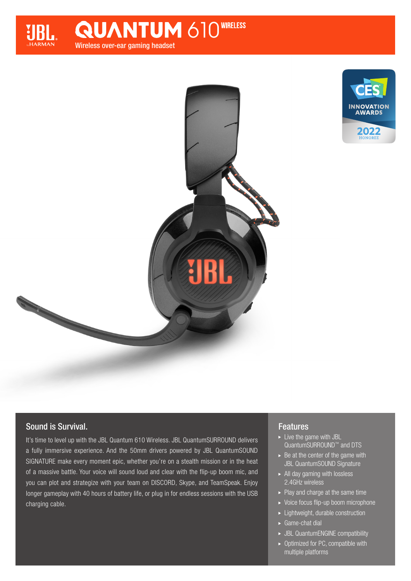

Wireless over-ear gaming headset **QUANTUM 610WIRELESS** 





# Sound is Survival.

It's time to level up with the JBL Quantum 610 Wireless. JBL QuantumSURROUND delivers a fully immersive experience. And the 50mm drivers powered by JBL QuantumSOUND SIGNATURE make every moment epic, whether you're on a stealth mission or in the heat of a massive battle. Your voice will sound loud and clear with the flip-up boom mic, and you can plot and strategize with your team on DISCORD, Skype, and TeamSpeak. Enjoy longer gameplay with 40 hours of battery life, or plug in for endless sessions with the USB charging cable.

# Features

- $\blacktriangleright$  Live the game with JBL QuantumSURROUND™ and DTS
- $\triangleright$  Be at the center of the game with JBL QuantumSOUND Signature
- $\blacktriangleright$  All day gaming with lossless 2.4GHz wireless
- $\blacktriangleright$  Play and charge at the same time
- ▶ Voice focus flip-up boom microphone
- ► Lightweight, durable construction
- ► Game-chat dial
- JBL QuantumENGINE compatibility
- $\triangleright$  Optimized for PC, compatible with multiple platforms